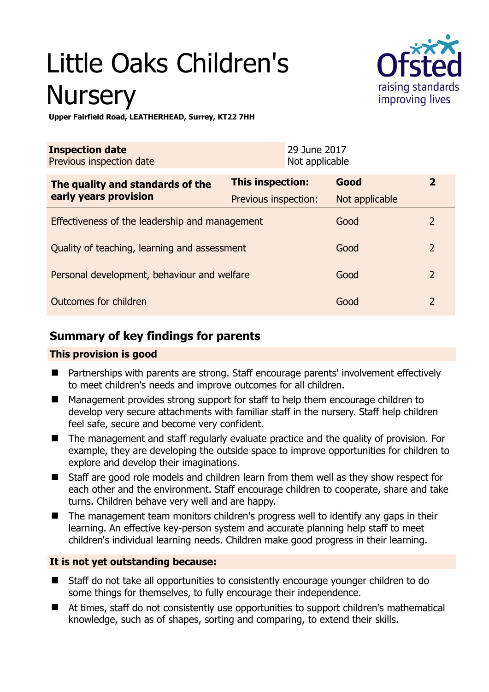# Little Oaks Children's **Nursery**



**Upper Fairfield Road, LEATHERHEAD, Surrey, KT22 7HH** 

| <b>Inspection date</b><br>Previous inspection date |                      | 29 June 2017<br>Not applicable |                |                |
|----------------------------------------------------|----------------------|--------------------------------|----------------|----------------|
| The quality and standards of the                   | This inspection:     |                                | Good           | $\mathbf{2}$   |
| early years provision                              | Previous inspection: |                                | Not applicable |                |
| Effectiveness of the leadership and management     |                      |                                | Good           | 2              |
| Quality of teaching, learning and assessment       |                      |                                | Good           | $\overline{2}$ |
| Personal development, behaviour and welfare        |                      |                                | Good           | $\overline{2}$ |
| Outcomes for children                              |                      |                                | Good           | $\mathcal{P}$  |

# **Summary of key findings for parents**

# **This provision is good**

- Partnerships with parents are strong. Staff encourage parents' involvement effectively to meet children's needs and improve outcomes for all children.
- Management provides strong support for staff to help them encourage children to develop very secure attachments with familiar staff in the nursery. Staff help children feel safe, secure and become very confident.
- The management and staff regularly evaluate practice and the quality of provision. For example, they are developing the outside space to improve opportunities for children to explore and develop their imaginations.
- Staff are good role models and children learn from them well as they show respect for each other and the environment. Staff encourage children to cooperate, share and take turns. Children behave very well and are happy.
- The management team monitors children's progress well to identify any gaps in their learning. An effective key-person system and accurate planning help staff to meet children's individual learning needs. Children make good progress in their learning.

# **It is not yet outstanding because:**

- Staff do not take all opportunities to consistently encourage younger children to do some things for themselves, to fully encourage their independence.
- At times, staff do not consistently use opportunities to support children's mathematical knowledge, such as of shapes, sorting and comparing, to extend their skills.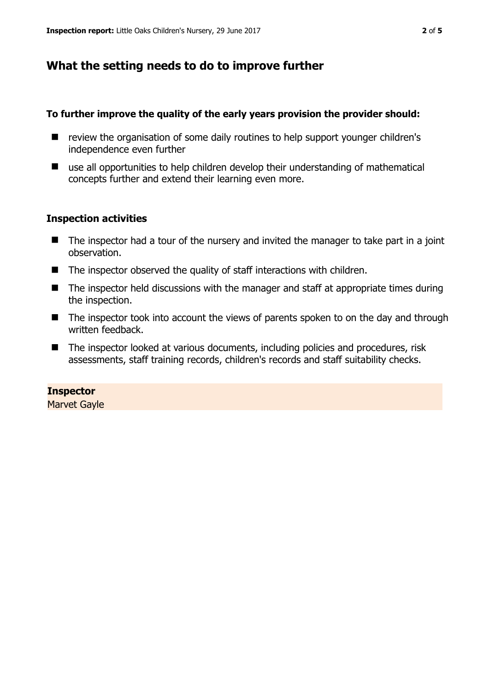# **What the setting needs to do to improve further**

#### **To further improve the quality of the early years provision the provider should:**

- review the organisation of some daily routines to help support younger children's independence even further
- use all opportunities to help children develop their understanding of mathematical concepts further and extend their learning even more.

## **Inspection activities**

- The inspector had a tour of the nursery and invited the manager to take part in a joint observation.
- $\blacksquare$  The inspector observed the quality of staff interactions with children.
- The inspector held discussions with the manager and staff at appropriate times during the inspection.
- The inspector took into account the views of parents spoken to on the day and through written feedback.
- The inspector looked at various documents, including policies and procedures, risk assessments, staff training records, children's records and staff suitability checks.

#### **Inspector**

Marvet Gayle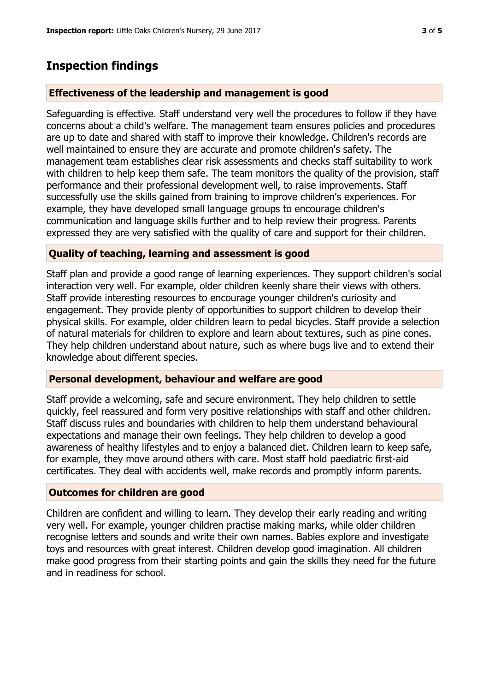# **Inspection findings**

## **Effectiveness of the leadership and management is good**

Safeguarding is effective. Staff understand very well the procedures to follow if they have concerns about a child's welfare. The management team ensures policies and procedures are up to date and shared with staff to improve their knowledge. Children's records are well maintained to ensure they are accurate and promote children's safety. The management team establishes clear risk assessments and checks staff suitability to work with children to help keep them safe. The team monitors the quality of the provision, staff performance and their professional development well, to raise improvements. Staff successfully use the skills gained from training to improve children's experiences. For example, they have developed small language groups to encourage children's communication and language skills further and to help review their progress. Parents expressed they are very satisfied with the quality of care and support for their children.

## **Quality of teaching, learning and assessment is good**

Staff plan and provide a good range of learning experiences. They support children's social interaction very well. For example, older children keenly share their views with others. Staff provide interesting resources to encourage younger children's curiosity and engagement. They provide plenty of opportunities to support children to develop their physical skills. For example, older children learn to pedal bicycles. Staff provide a selection of natural materials for children to explore and learn about textures, such as pine cones. They help children understand about nature, such as where bugs live and to extend their knowledge about different species.

## **Personal development, behaviour and welfare are good**

Staff provide a welcoming, safe and secure environment. They help children to settle quickly, feel reassured and form very positive relationships with staff and other children. Staff discuss rules and boundaries with children to help them understand behavioural expectations and manage their own feelings. They help children to develop a good awareness of healthy lifestyles and to enjoy a balanced diet. Children learn to keep safe, for example, they move around others with care. Most staff hold paediatric first-aid certificates. They deal with accidents well, make records and promptly inform parents.

## **Outcomes for children are good**

Children are confident and willing to learn. They develop their early reading and writing very well. For example, younger children practise making marks, while older children recognise letters and sounds and write their own names. Babies explore and investigate toys and resources with great interest. Children develop good imagination. All children make good progress from their starting points and gain the skills they need for the future and in readiness for school.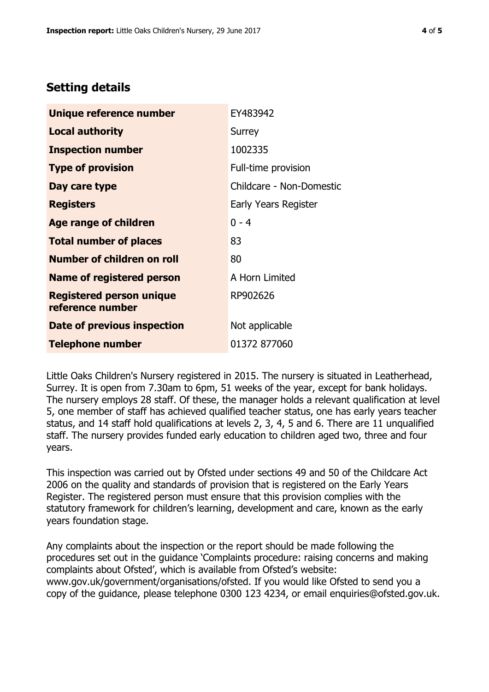# **Setting details**

| Unique reference number                             | EY483942                 |  |
|-----------------------------------------------------|--------------------------|--|
| Local authority                                     | Surrey                   |  |
| <b>Inspection number</b>                            | 1002335                  |  |
| <b>Type of provision</b>                            | Full-time provision      |  |
| Day care type                                       | Childcare - Non-Domestic |  |
| <b>Registers</b>                                    | Early Years Register     |  |
| Age range of children                               | $0 - 4$                  |  |
| <b>Total number of places</b>                       | 83                       |  |
| <b>Number of children on roll</b>                   | 80                       |  |
| <b>Name of registered person</b>                    | A Horn Limited           |  |
| <b>Registered person unique</b><br>reference number | RP902626                 |  |
| Date of previous inspection                         | Not applicable           |  |
| <b>Telephone number</b>                             | 01372 877060             |  |

Little Oaks Children's Nursery registered in 2015. The nursery is situated in Leatherhead, Surrey. It is open from 7.30am to 6pm, 51 weeks of the year, except for bank holidays. The nursery employs 28 staff. Of these, the manager holds a relevant qualification at level 5, one member of staff has achieved qualified teacher status, one has early years teacher status, and 14 staff hold qualifications at levels 2, 3, 4, 5 and 6. There are 11 unqualified staff. The nursery provides funded early education to children aged two, three and four years.

This inspection was carried out by Ofsted under sections 49 and 50 of the Childcare Act 2006 on the quality and standards of provision that is registered on the Early Years Register. The registered person must ensure that this provision complies with the statutory framework for children's learning, development and care, known as the early years foundation stage.

Any complaints about the inspection or the report should be made following the procedures set out in the guidance 'Complaints procedure: raising concerns and making complaints about Ofsted', which is available from Ofsted's website: www.gov.uk/government/organisations/ofsted. If you would like Ofsted to send you a copy of the guidance, please telephone 0300 123 4234, or email enquiries@ofsted.gov.uk.